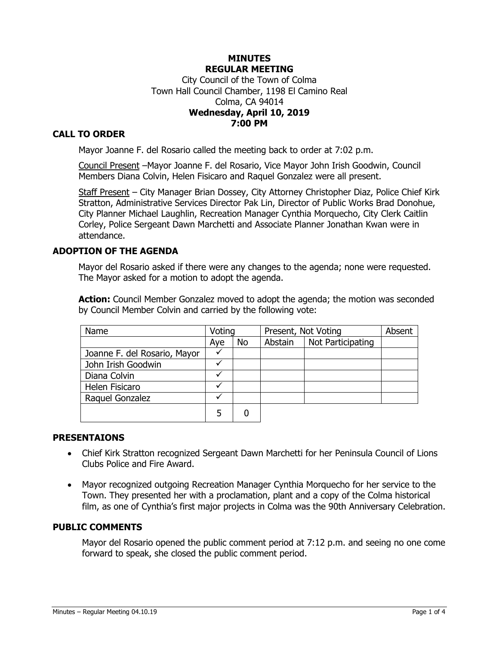## **MINUTES REGULAR MEETING** City Council of the Town of Colma Town Hall Council Chamber, 1198 El Camino Real Colma, CA 94014 **Wednesday, April 10, 2019 7:00 PM**

# **CALL TO ORDER**

Mayor Joanne F. del Rosario called the meeting back to order at 7:02 p.m.

Council Present –Mayor Joanne F. del Rosario, Vice Mayor John Irish Goodwin, Council Members Diana Colvin, Helen Fisicaro and Raquel Gonzalez were all present.

Staff Present - City Manager Brian Dossey, City Attorney Christopher Diaz, Police Chief Kirk Stratton, Administrative Services Director Pak Lin, Director of Public Works Brad Donohue, City Planner Michael Laughlin, Recreation Manager Cynthia Morquecho, City Clerk Caitlin Corley, Police Sergeant Dawn Marchetti and Associate Planner Jonathan Kwan were in attendance.

## **ADOPTION OF THE AGENDA**

Mayor del Rosario asked if there were any changes to the agenda; none were requested. The Mayor asked for a motion to adopt the agenda.

**Action:** Council Member Gonzalez moved to adopt the agenda; the motion was seconded by Council Member Colvin and carried by the following vote:

| Name                         | Voting |           | Present, Not Voting |                   | Absent |
|------------------------------|--------|-----------|---------------------|-------------------|--------|
|                              | Aye    | <b>No</b> | Abstain             | Not Participating |        |
| Joanne F. del Rosario, Mayor |        |           |                     |                   |        |
| John Irish Goodwin           |        |           |                     |                   |        |
| Diana Colvin                 |        |           |                     |                   |        |
| Helen Fisicaro               |        |           |                     |                   |        |
| Raquel Gonzalez              |        |           |                     |                   |        |
|                              | 5      |           |                     |                   |        |

## **PRESENTAIONS**

- Chief Kirk Stratton recognized Sergeant Dawn Marchetti for her Peninsula Council of Lions Clubs Police and Fire Award.
- Mayor recognized outgoing Recreation Manager Cynthia Morquecho for her service to the Town. They presented her with a proclamation, plant and a copy of the Colma historical film, as one of Cynthia's first major projects in Colma was the 90th Anniversary Celebration.

#### **PUBLIC COMMENTS**

Mayor del Rosario opened the public comment period at 7:12 p.m. and seeing no one come forward to speak, she closed the public comment period.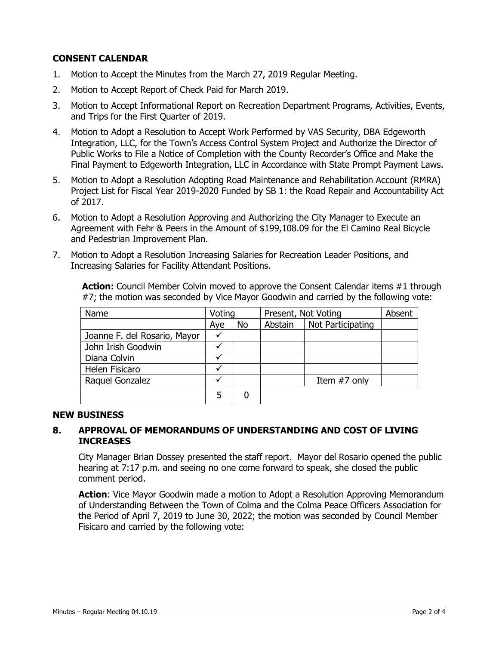# **CONSENT CALENDAR**

- 1. Motion to Accept the Minutes from the March 27, 2019 Regular Meeting.
- 2. Motion to Accept Report of Check Paid for March 2019.
- 3. Motion to Accept Informational Report on Recreation Department Programs, Activities, Events, and Trips for the First Quarter of 2019.
- 4. Motion to Adopt a Resolution to Accept Work Performed by VAS Security, DBA Edgeworth Integration, LLC, for the Town's Access Control System Project and Authorize the Director of Public Works to File a Notice of Completion with the County Recorder's Office and Make the Final Payment to Edgeworth Integration, LLC in Accordance with State Prompt Payment Laws.
- 5. Motion to Adopt a Resolution Adopting Road Maintenance and Rehabilitation Account (RMRA) Project List for Fiscal Year 2019-2020 Funded by SB 1: the Road Repair and Accountability Act of 2017.
- 6. Motion to Adopt a Resolution Approving and Authorizing the City Manager to Execute an Agreement with Fehr & Peers in the Amount of \$199,108.09 for the El Camino Real Bicycle and Pedestrian Improvement Plan.
- 7. Motion to Adopt a Resolution Increasing Salaries for Recreation Leader Positions, and Increasing Salaries for Facility Attendant Positions.

**Action:** Council Member Colvin moved to approve the Consent Calendar items #1 through #7; the motion was seconded by Vice Mayor Goodwin and carried by the following vote:

| Name                         | Voting |    | Present, Not Voting |                   | Absent |
|------------------------------|--------|----|---------------------|-------------------|--------|
|                              | Aye    | No | Abstain             | Not Participating |        |
| Joanne F. del Rosario, Mayor |        |    |                     |                   |        |
| John Irish Goodwin           |        |    |                     |                   |        |
| Diana Colvin                 |        |    |                     |                   |        |
| Helen Fisicaro               |        |    |                     |                   |        |
| Raquel Gonzalez              |        |    |                     | Item #7 only      |        |
|                              |        |    |                     |                   |        |

## **NEW BUSINESS**

# **8. APPROVAL OF MEMORANDUMS OF UNDERSTANDING AND COST OF LIVING INCREASES**

City Manager Brian Dossey presented the staff report. Mayor del Rosario opened the public hearing at 7:17 p.m. and seeing no one come forward to speak, she closed the public comment period.

**Action**: Vice Mayor Goodwin made a motion to Adopt a Resolution Approving Memorandum of Understanding Between the Town of Colma and the Colma Peace Officers Association for the Period of April 7, 2019 to June 30, 2022; the motion was seconded by Council Member Fisicaro and carried by the following vote: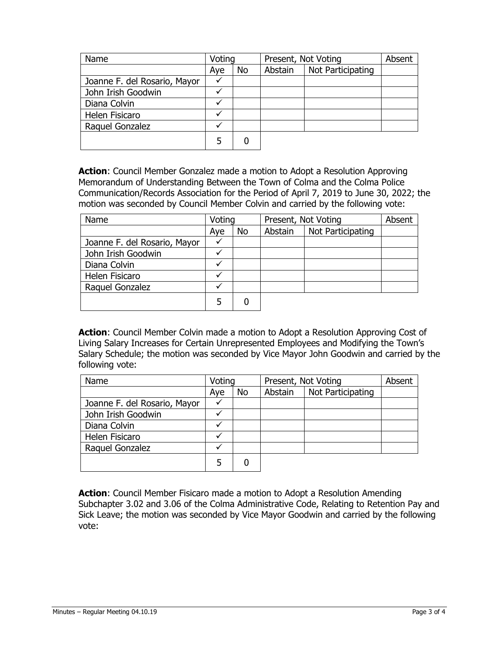| Name                         | Voting |           | Present, Not Voting |                   | Absent |
|------------------------------|--------|-----------|---------------------|-------------------|--------|
|                              | Aye    | <b>No</b> | Abstain             | Not Participating |        |
| Joanne F. del Rosario, Mayor |        |           |                     |                   |        |
| John Irish Goodwin           |        |           |                     |                   |        |
| Diana Colvin                 | ✔      |           |                     |                   |        |
| Helen Fisicaro               | ✓      |           |                     |                   |        |
| Raquel Gonzalez              |        |           |                     |                   |        |
|                              | 5      |           |                     |                   |        |

**Action**: Council Member Gonzalez made a motion to Adopt a Resolution Approving Memorandum of Understanding Between the Town of Colma and the Colma Police Communication/Records Association for the Period of April 7, 2019 to June 30, 2022; the motion was seconded by Council Member Colvin and carried by the following vote:

| Name                         | Voting |    | Present, Not Voting |                   | Absent |
|------------------------------|--------|----|---------------------|-------------------|--------|
|                              | Aye    | No | Abstain             | Not Participating |        |
| Joanne F. del Rosario, Mayor | v      |    |                     |                   |        |
| John Irish Goodwin           |        |    |                     |                   |        |
| Diana Colvin                 |        |    |                     |                   |        |
| Helen Fisicaro               | ✔      |    |                     |                   |        |
| Raquel Gonzalez              |        |    |                     |                   |        |
|                              |        |    |                     |                   |        |

**Action**: Council Member Colvin made a motion to Adopt a Resolution Approving Cost of Living Salary Increases for Certain Unrepresented Employees and Modifying the Town's Salary Schedule; the motion was seconded by Vice Mayor John Goodwin and carried by the following vote:

| Name                         | Voting |    | Present, Not Voting |                   | Absent |
|------------------------------|--------|----|---------------------|-------------------|--------|
|                              | Aye    | No | Abstain             | Not Participating |        |
| Joanne F. del Rosario, Mayor |        |    |                     |                   |        |
| John Irish Goodwin           |        |    |                     |                   |        |
| Diana Colvin                 |        |    |                     |                   |        |
| Helen Fisicaro               |        |    |                     |                   |        |
| Raquel Gonzalez              |        |    |                     |                   |        |
|                              |        |    |                     |                   |        |

**Action**: Council Member Fisicaro made a motion to Adopt a Resolution Amending Subchapter 3.02 and 3.06 of the Colma Administrative Code, Relating to Retention Pay and Sick Leave; the motion was seconded by Vice Mayor Goodwin and carried by the following vote: